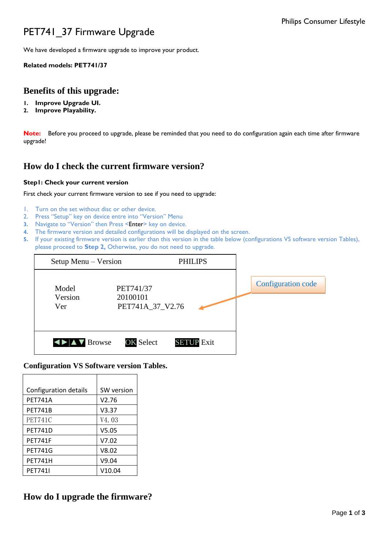# PET741\_37 Firmware Upgrade

We have developed a firmware upgrade to improve your product.

### **Related models: PET741/37**

### **Benefits of this upgrade:**

- **1. Improve Upgrade UI.**
- **2. Improve Playability.**

**Note:** Before you proceed to upgrade, please be reminded that you need to do configuration again each time after firmware upgrade!

## **How do I check the current firmware version?**

### **Step1: Check your current version**

#### First check your current firmware version to see if you need to upgrade:

- 1. Turn on the set without disc or other device.
- 2. Press "Setup" key on device entre into "Version" Menu
- **3.** Navigate to "Version" then Press <Enter> key on device.
- **4.** The firmware version and detailed configurations will be displayed on the screen.
- **5.** If your existing firmware version is earlier than this version in the table below (configurations VS software version Tables), please proceed to **Step 2,** Otherwise, you do not need to upgrade.

| Setup Menu – Version    |                                           | <b>PHILIPS</b>    |                           |
|-------------------------|-------------------------------------------|-------------------|---------------------------|
| Model<br>Version<br>Ver | PET741/37<br>20100101<br>PET741A_37_V2.76 |                   | <b>Configuration code</b> |
| <b>IDIAV</b> Browse     | <b>OK Select</b>                          | <b>SETUP</b> Exit |                           |

### **Configuration VS Software version Tables.**

| Configuration details | SW version         |  |
|-----------------------|--------------------|--|
| <b>PET741A</b>        | V2.76              |  |
| <b>PET741B</b>        | V3.37              |  |
| PET741C               | V <sub>4</sub> .03 |  |
| <b>PET741D</b>        | V5.05              |  |
| <b>PFT741F</b>        | V7.02              |  |
| <b>PET741G</b>        | V8.02              |  |
| <b>PET741H</b>        | V9.04              |  |
| <b>PET741I</b>        | V10.04             |  |

### **How do I upgrade the firmware?**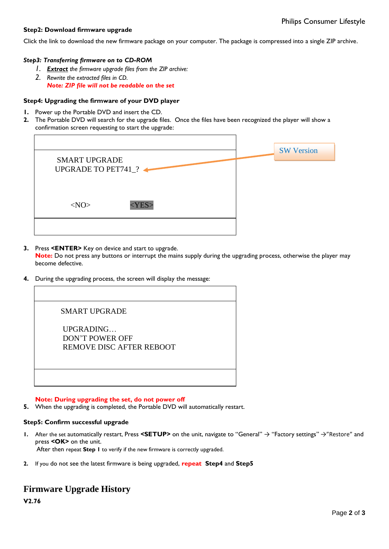### **Step2: Download firmware upgrade**

Click the link to download the new firmware package on your computer. The package is compressed into a single ZIP archive.

### *Step3: Transferring firmware on to CD-ROM*

- *1. Extract the firmware upgrade files from the ZIP archive:*
- *2. Rewrite the extracted files in CD. Note: ZIP file will not be readable on the set*

#### **Step4: Upgrading the firmware of your DVD player**

- **1.** Power up the Portable DVD and insert the CD.
- **2.** The Portable DVD will search for the upgrade files. Once the files have been recognized the player will show a confirmation screen requesting to start the upgrade:

|                                                    | <b>SW Version</b> |
|----------------------------------------------------|-------------------|
| <b>SMART UPGRADE</b><br><b>UPGRADE TO PET741_?</b> |                   |
| $<\!\!NO\!\!>$<br>$<$ YES:                         |                   |
|                                                    |                   |

**3.** Press **<ENTER>** Key on device and start to upgrade.

**Note:** Do not press any buttons or interrupt the mains supply during the upgrading process, otherwise the player may become defective.

**4.** During the upgrading process, the screen will display the message:

#### **Note: During upgrading the set, do not power off**

**5.** When the upgrading is completed, the Portable DVD will automatically restart.

#### **Step5: Confirm successful upgrade**

- **1.** After the set automatically restart, Press **<SETUP>** on the unit, navigate to "General" → "Factory settings" →"Restore" and press **<OK>** on the unit. After then repeat **Step 1** to verify if the new firmware is correctly upgraded.
- **2.** If you do not see the latest firmware is being upgraded, **repeat Step4** and **Step5**

### **Firmware Upgrade History**

**V2.76**